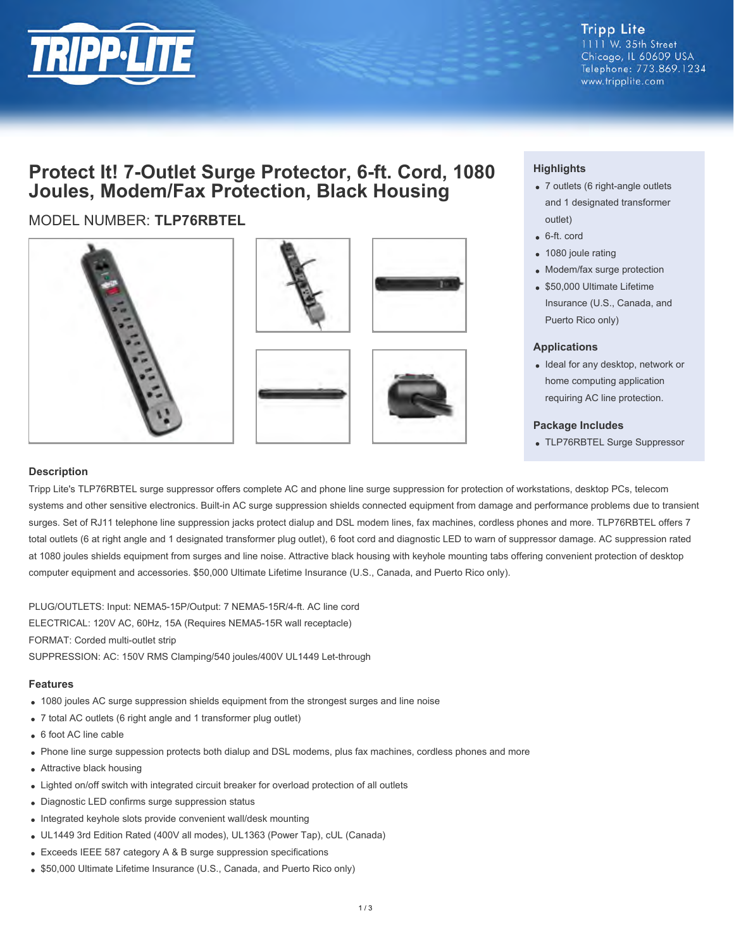

## **Tripp Lite**

1111 W. 35th Street Chicago, IL 60609 USA Telephone: 773.869.1234 www.tripplite.com

# **Protect It! 7-Outlet Surge Protector, 6-ft. Cord, 1080 Joules, Modem/Fax Protection, Black Housing**

## MODEL NUMBER: **TLP76RBTEL**









### **Highlights**

- 7 outlets (6 right-angle outlets and 1 designated transformer outlet)
- 6-ft. cord
- 1080 joule rating
- Modem/fax surge protection
- \$50,000 Ultimate Lifetime Insurance (U.S., Canada, and Puerto Rico only)

#### **Applications**

• Ideal for any desktop, network or home computing application requiring AC line protection.

#### **Package Includes**

TLP76RBTEL Surge Suppressor

#### **Description**

Tripp Lite's TLP76RBTEL surge suppressor offers complete AC and phone line surge suppression for protection of workstations, desktop PCs, telecom systems and other sensitive electronics. Built-in AC surge suppression shields connected equipment from damage and performance problems due to transient surges. Set of RJ11 telephone line suppression jacks protect dialup and DSL modem lines, fax machines, cordless phones and more. TLP76RBTEL offers 7 total outlets (6 at right angle and 1 designated transformer plug outlet), 6 foot cord and diagnostic LED to warn of suppressor damage. AC suppression rated at 1080 joules shields equipment from surges and line noise. Attractive black housing with keyhole mounting tabs offering convenient protection of desktop computer equipment and accessories. \$50,000 Ultimate Lifetime Insurance (U.S., Canada, and Puerto Rico only).

PLUG/OUTLETS: Input: NEMA5-15P/Output: 7 NEMA5-15R/4-ft. AC line cord ELECTRICAL: 120V AC, 60Hz, 15A (Requires NEMA5-15R wall receptacle) FORMAT: Corded multi-outlet strip SUPPRESSION: AC: 150V RMS Clamping/540 joules/400V UL1449 Let-through

#### **Features**

- 1080 joules AC surge suppression shields equipment from the strongest surges and line noise
- 7 total AC outlets (6 right angle and 1 transformer plug outlet)
- 6 foot AC line cable
- Phone line surge suppession protects both dialup and DSL modems, plus fax machines, cordless phones and more
- Attractive black housing
- Lighted on/off switch with integrated circuit breaker for overload protection of all outlets
- Diagnostic LED confirms surge suppression status
- Integrated keyhole slots provide convenient wall/desk mounting
- UL1449 3rd Edition Rated (400V all modes), UL1363 (Power Tap), cUL (Canada)
- Exceeds IEEE 587 category A & B surge suppression specifications
- \$50,000 Ultimate Lifetime Insurance (U.S., Canada, and Puerto Rico only)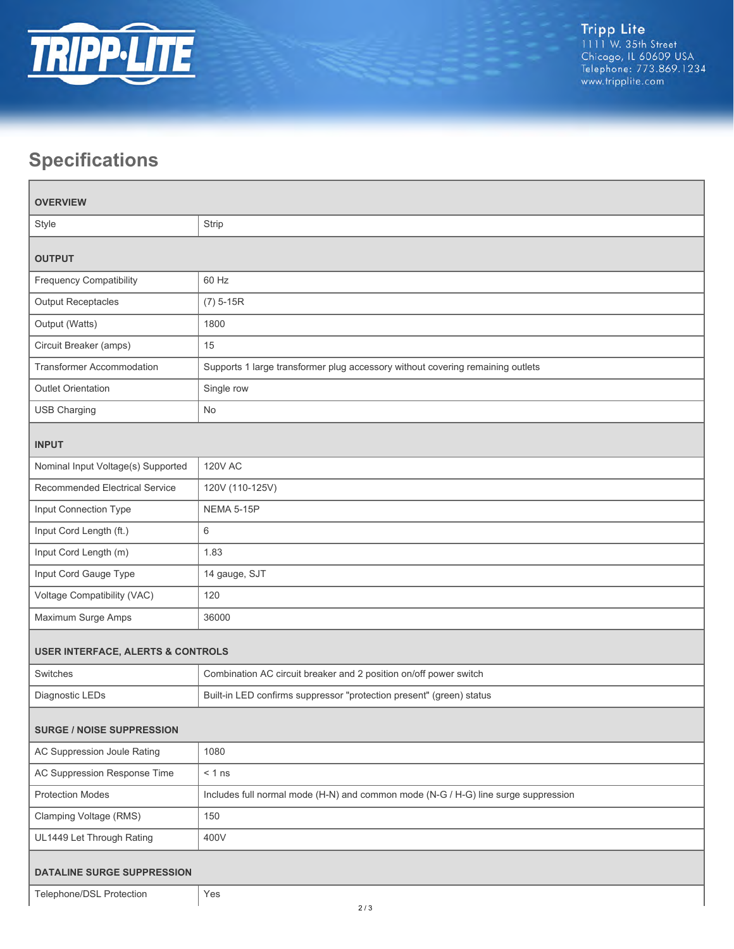

# **Specifications**

| <b>OVERVIEW</b>                              |                                                                                    |  |
|----------------------------------------------|------------------------------------------------------------------------------------|--|
| Style                                        | Strip                                                                              |  |
| <b>OUTPUT</b>                                |                                                                                    |  |
| <b>Frequency Compatibility</b>               | 60 Hz                                                                              |  |
| <b>Output Receptacles</b>                    | $(7)$ 5-15R                                                                        |  |
| Output (Watts)                               | 1800                                                                               |  |
| Circuit Breaker (amps)                       | 15                                                                                 |  |
| <b>Transformer Accommodation</b>             | Supports 1 large transformer plug accessory without covering remaining outlets     |  |
| <b>Outlet Orientation</b>                    | Single row                                                                         |  |
| <b>USB Charging</b>                          | <b>No</b>                                                                          |  |
| <b>INPUT</b>                                 |                                                                                    |  |
| Nominal Input Voltage(s) Supported           | <b>120V AC</b>                                                                     |  |
| Recommended Electrical Service               | 120V (110-125V)                                                                    |  |
| Input Connection Type                        | NEMA 5-15P                                                                         |  |
| Input Cord Length (ft.)                      | 6                                                                                  |  |
| Input Cord Length (m)                        | 1.83                                                                               |  |
| Input Cord Gauge Type                        | 14 gauge, SJT                                                                      |  |
| Voltage Compatibility (VAC)                  | 120                                                                                |  |
| Maximum Surge Amps                           | 36000                                                                              |  |
| <b>USER INTERFACE, ALERTS &amp; CONTROLS</b> |                                                                                    |  |
| Switches                                     | Combination AC circuit breaker and 2 position on/off power switch                  |  |
| Diagnostic LEDs                              | Built-in LED confirms suppressor "protection present" (green) status               |  |
| <b>SURGE / NOISE SUPPRESSION</b>             |                                                                                    |  |
| AC Suppression Joule Rating                  | 1080                                                                               |  |
| AC Suppression Response Time                 | $< 1$ ns                                                                           |  |
| <b>Protection Modes</b>                      | Includes full normal mode (H-N) and common mode (N-G / H-G) line surge suppression |  |
| Clamping Voltage (RMS)                       | 150                                                                                |  |
| UL1449 Let Through Rating                    | 400V                                                                               |  |
| <b>DATALINE SURGE SUPPRESSION</b>            |                                                                                    |  |
| Telephone/DSL Protection                     | Yes                                                                                |  |